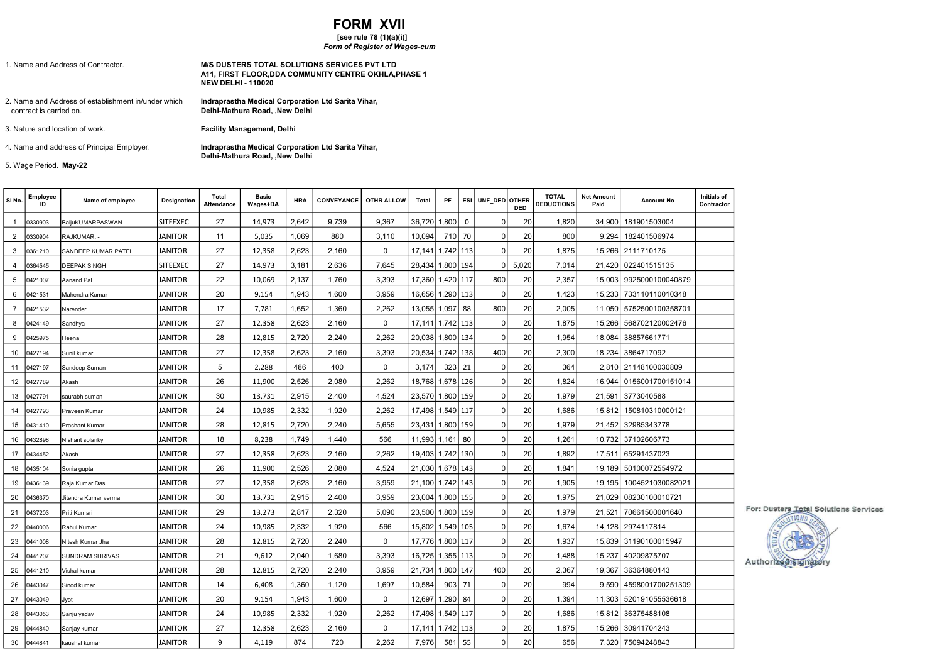## FORM XVII

## [see rule 78 (1)(a)(i)]

## Form of Register of Wages-cum

| 1. Name and Address of Contractor.                                             | <b>M/S DUSTERS TOTAL SOLUTIONS SERVICES PVT LTD</b><br>A11. FIRST FLOOR.DDA COMMUNITY CENTRE OKHLA.PHASE 1<br><b>NEW DELHI - 110020</b> |
|--------------------------------------------------------------------------------|-----------------------------------------------------------------------------------------------------------------------------------------|
| 2. Name and Address of establishment in/under which<br>contract is carried on. | Indraprastha Medical Corporation Ltd Sarita Vihar,<br>Delhi-Mathura Road. .New Delhi                                                    |
| 3. Nature and location of work.                                                | <b>Facility Management, Delhi</b>                                                                                                       |
| 4. Name and address of Principal Employer.                                     | Indraprastha Medical Corporation Ltd Sarita Vihar,<br>Delhi-Mathura Road, , New Delhi                                                   |

5. Wage Period. May-22

| SINo.          | Employee<br>ID | Name of employee       | Designation     | Total<br>Attendance | <b>Basic</b><br>Wages+DA | <b>HRA</b> | <b>CONVEYANCE</b> | OTHR ALLOW  | Total                | PF        | <b>ESI</b>  | UNF DED OTHER | <b>DED</b> | <b>TOTAL</b><br><b>DEDUCTIONS</b> | <b>Net Amount</b><br>Paid | <b>Account No</b> | Initials of<br>Contractor |
|----------------|----------------|------------------------|-----------------|---------------------|--------------------------|------------|-------------------|-------------|----------------------|-----------|-------------|---------------|------------|-----------------------------------|---------------------------|-------------------|---------------------------|
| $\overline{1}$ | 0330903        | BaijuKUMARPASWAN -     | <b>SITEEXEC</b> | 27                  | 14,973                   | 2.642      | 9.739             | 9.367       | 36,720               | 1,800     | $\mathbf 0$ | $\mathbf 0$   | 20         | 1,820                             | 34,900                    | 181901503004      |                           |
| 2              | 0330904        | RAJKUMAR. -            | <b>JANITOR</b>  | 11                  | 5,035                    | 1,069      | 880               | 3,110       | 10,094               | 710 70    |             | $\mathbf 0$   | 20         | 800                               | 9,294                     | 182401506974      |                           |
| 3              | 0361210        | SANDEEP KUMAR PATEL    | <b>JANITOR</b>  | 27                  | 12,358                   | 2,623      | 2,160             | $\mathbf 0$ | 17,141   1,742   113 |           |             | $\Omega$      | 20         | 1,875                             | 15,266                    | 2111710175        |                           |
| 4              | 0364545        | DEEPAK SINGH           | <b>SITEEXEC</b> | 27                  | 14,973                   | 3,181      | 2,636             | 7,645       | 28,434 1,800 194     |           |             | 0             | 5,020      | 7,014                             | 21,420                    | 022401515135      |                           |
| 5              | 0421007        | Aanand Pal             | <b>JANITOR</b>  | 22                  | 10,069                   | 2.137      | 1.760             | 3.393       | 17,360 1,420 117     |           |             | 800           | 20         | 2,357                             | 15.003                    | 9925000100040879  |                           |
| 6              | 0421531        | Mahendra Kumar         | <b>JANITOR</b>  | 20                  | 9,154                    | 1,943      | 1,600             | 3,959       | 16,656 1,290 113     |           |             | $\mathbf 0$   | 20         | 1,423                             | 15,233                    | 733110110010348   |                           |
| $\overline{7}$ | 0421532        | Narender               | <b>JANITOR</b>  | 17                  | 7,781                    | 1,652      | 1,360             | 2,262       | 13,055   1,097       |           | 88          | 800           | 20         | 2,005                             | 11,050                    | 5752500100358701  |                           |
| 8              | 0424149        | Sandhya                | <b>JANITOR</b>  | 27                  | 12,358                   | 2,623      | 2,160             | $\mathbf 0$ | 17,141               | 1,742 113 |             | $\mathbf 0$   | 20         | 1,875                             | 15,266                    | 568702120002476   |                           |
| 9              | 0425975        | Heena                  | <b>JANITOR</b>  | 28                  | 12,815                   | 2,720      | 2,240             | 2,262       | 20,038 1,800 134     |           |             | $\mathbf 0$   | 20         | 1,954                             | 18,084                    | 38857661771       |                           |
| 10             | 0427194        | Sunil kumar            | <b>JANITOR</b>  | 27                  | 12,358                   | 2,623      | 2,160             | 3,393       | 20,534   1,742   138 |           |             | 400           | 20         | 2,300                             | 18,234                    | 3864717092        |                           |
| 11             | 0427197        | Sandeep Suman          | <b>JANITOR</b>  | 5                   | 2,288                    | 486        | 400               | $\mathbf 0$ | 3.174                | 323       | 21          | $\mathbf 0$   | 20         | 364                               | 2.810                     | 21148100030809    |                           |
| 12             | 0427789        | Akash                  | <b>JANITOR</b>  | 26                  | 11,900                   | 2.526      | 2,080             | 2.262       | 18.768               | 1,678 126 |             | $\mathbf 0$   | 20         | 1,824                             | 16.944                    | 0156001700151014  |                           |
| 13             | 0427791        | saurabh suman          | <b>JANITOR</b>  | 30                  | 13,731                   | 2,915      | 2,400             | 4,524       | 23,570 1,800 159     |           |             | $\mathbf 0$   | 20         | 1,979                             | 21,591                    | 3773040588        |                           |
| 14             | 0427793        | Praveen Kumar          | <b>JANITOR</b>  | 24                  | 10,985                   | 2,332      | 1,920             | 2,262       | 17,498 1,549 117     |           |             | $\mathbf 0$   | 20         | 1,686                             | 15,812                    | 150810310000121   |                           |
| 15             | 0431410        | Prashant Kumar         | <b>JANITOR</b>  | 28                  | 12,815                   | 2,720      | 2,240             | 5,655       | 23,431               | 1,800 159 |             | $\mathsf 0$   | 20         | 1,979                             | 21,452                    | 32985343778       |                           |
| 16             | 0432898        | Nishant solanky        | <b>JANITOR</b>  | 18                  | 8,238                    | 1,749      | 1,440             | 566         | 11,993 1,161 80      |           |             | $\mathbf 0$   | 20         | 1,261                             | 10,732                    | 37102606773       |                           |
| 17             | 0434452        | Akash                  | <b>JANITOR</b>  | 27                  | 12,358                   | 2,623      | 2,160             | 2,262       | 19,403 1,742 130     |           |             | $\Omega$      | 20         | 1,892                             | 17.511                    | 65291437023       |                           |
| 18             | 0435104        | Sonia gupta            | <b>JANITOR</b>  | 26                  | 11,900                   | 2,526      | 2,080             | 4,524       | 21,030 1,678 143     |           |             | $\mathbf 0$   | 20         | 1,841                             | 19,189                    | 50100072554972    |                           |
| 19             | 0436139        | Raja Kumar Das         | <b>JANITOR</b>  | 27                  | 12,358                   | 2,623      | 2,160             | 3,959       | 21,100 1,742 143     |           |             | $\mathbf 0$   | 20         | 1,905                             | 19.195                    | 1004521030082021  |                           |
| 20             | 0436370        | Jitendra Kumar verma   | <b>JANITOR</b>  | 30                  | 13,731                   | 2,915      | 2,400             | 3,959       | 23,004               | 1,800 155 |             | $\mathbf 0$   | 20         | 1,975                             | 21,029                    | 08230100010721    |                           |
| 21             | 0437203        | Priti Kumari           | <b>JANITOR</b>  | 29                  | 13,273                   | 2,817      | 2,320             | 5,090       | 23,500 1,800 159     |           |             | $\mathbf 0$   | 20         | 1,979                             | 21,521                    | 70661500001640    |                           |
| 22             | 0440006        | Rahul Kumar            | <b>JANITOR</b>  | 24                  | 10,985                   | 2,332      | 1,920             | 566         | 15,802   1,549   105 |           |             | $\mathbf 0$   | 20         | 1,674                             | 14,128                    | 2974117814        |                           |
| 23             | 0441008        | Nitesh Kumar Jha       | <b>JANITOR</b>  | 28                  | 12,815                   | 2,720      | 2,240             | $\mathbf 0$ | 17,776   1,800   117 |           |             | $\mathbf 0$   | 20         | 1,937                             | 15.839                    | 31190100015947    |                           |
| 24             | 0441207        | <b>SUNDRAM SHRIVAS</b> | <b>JANITOR</b>  | 21                  | 9,612                    | 2,040      | 1,680             | 3.393       | 16,725 1,355 113     |           |             | $\Omega$      | 20         | 1,488                             | 15,237                    | 40209875707       |                           |
| 25             | 0441210        | Vishal kumar           | <b>JANITOR</b>  | 28                  | 12,815                   | 2,720      | 2,240             | 3,959       | 21,734               | 1,800 147 |             | 400           | 20         | 2,367                             | 19,367                    | 36364880143       |                           |
| 26             | 0443047        | Sinod kumar            | <b>JANITOR</b>  | 14                  | 6,408                    | 1,360      | 1,120             | 1,697       | 10,584               | 903 71    |             | $\mathbf 0$   | 20         | 994                               | 9.590                     | 4598001700251309  |                           |
| 27             | 0443049        | Jyoti                  | <b>JANITOR</b>  | 20                  | 9,154                    | 1,943      | 1,600             | $\pmb{0}$   | 12,697               | 1,290 84  |             | $\mathbf 0$   | 20         | 1,394                             | 11,303                    | 520191055536618   |                           |
| 28             | 0443053        | Sanju yadav            | <b>JANITOR</b>  | 24                  | 10,985                   | 2,332      | 1.920             | 2,262       | 17,498 1,549 117     |           |             | $\mathbf 0$   | 20         | 1,686                             | 15.812                    | 36375488108       |                           |
| 29             | 0444840        | Sanjay kumar           | <b>JANITOR</b>  | 27                  | 12,358                   | 2,623      | 2,160             | $\mathbf 0$ | 17,141               | 1,742 113 |             | $\mathbf 0$   | 20         | 1,875                             | 15,266                    | 30941704243       |                           |
| 30             | 0444841        | kaushal kumar          | <b>JANITOR</b>  | 9                   | 4,119                    | 874        | 720               | 2.262       | 7,976                | 581 55    |             | $\mathbf 0$   | 20         | 656                               |                           | 7,320 75094248843 |                           |

For: Dusters Total Solutions Services

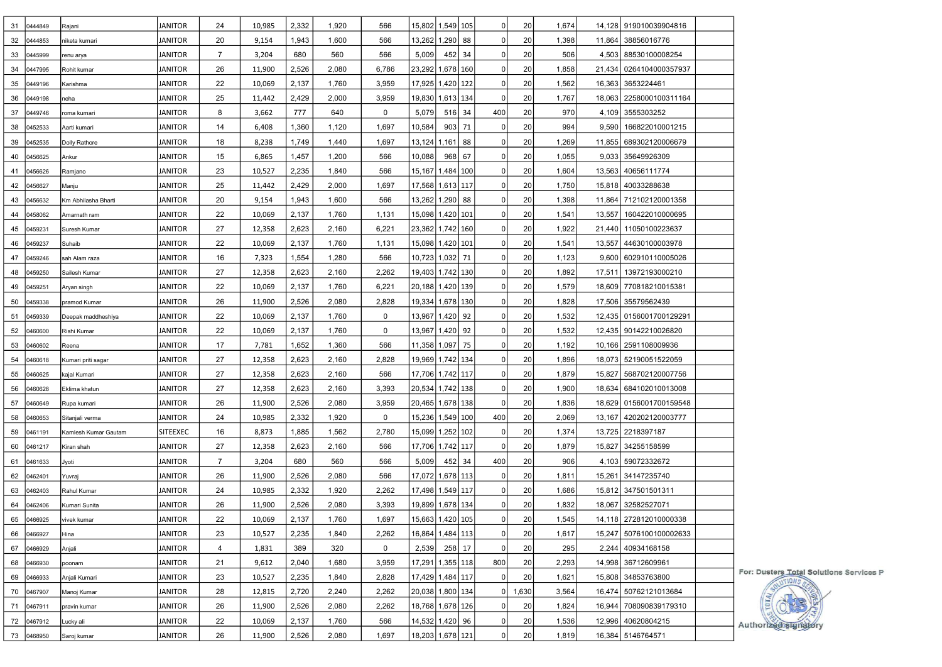| 31 | 0444849    | Rajani               | JANITOR         | 24             | 10,985 | 2,332 | 1,920 | 566         |        | 15,802 1,549 105     | $\overline{0}$ | 20                   | 1,674 |        | 14,128 919010039904816    |                                         |
|----|------------|----------------------|-----------------|----------------|--------|-------|-------|-------------|--------|----------------------|----------------|----------------------|-------|--------|---------------------------|-----------------------------------------|
|    | 32 0444853 | niketa kumari        | JANITOR         | 20             | 9,154  | 1,943 | 1,600 | 566         |        | 13,262 1,290  88     | $\Omega$       | 20                   | 1,398 |        | 11,864 38856016776        |                                         |
| 33 | 0445999    | renu arya            | JANITOR         | $\overline{7}$ | 3,204  | 680   | 560   | 566         | 5,009  | 452 34               |                | 20<br>$\overline{0}$ | 506   |        | 4,503 88530100008254      |                                         |
| 34 | 0447995    | Rohit kumar          | JANITOR         | 26             | 11,900 | 2,526 | 2,080 | 6,786       |        | 23,292 1,678 160     | $\mathbf 0$    | 20                   | 1,858 | 21,434 | 0264104000357937          |                                         |
| 35 | 0449196    | Karishma             | JANITOR         | 22             | 10,069 | 2,137 | 1,760 | 3,959       |        | 17,925   1,420   122 | $\Omega$       | 20                   | 1,562 |        | 16,363 3653224461         |                                         |
| 36 | 0449198    | neha                 | JANITOR         | 25             | 11,442 | 2,429 | 2,000 | 3,959       |        | 19,830  1,613  134   | 0              | 20                   | 1,767 |        | 18,063   2258000100311164 |                                         |
| 37 | 0449746    | roma kumari          | JANITOR         | 8              | 3,662  | 777   | 640   | $\mathbf 0$ | 5,079  | $516$ 34             | 400            | 20                   | 970   |        | 4,109 3555303252          |                                         |
| 38 | 0452533    | Aarti kumari         | JANITOR         | 14             | 6,408  | 1,360 | 1,120 | 1,697       | 10,584 | 903 71               | $\Omega$       | 20                   | 994   |        | 9,590 166822010001215     |                                         |
| 39 | 0452535    | Dolly Rathore        | JANITOR         | 18             | 8,238  | 1,749 | 1,440 | 1,697       |        | 13,124   1,161   88  | $\Omega$       | 20                   | 1,269 |        | 11,855 689302120006679    |                                         |
| 40 | 0456625    | Ankur                | JANITOR         | 15             | 6,865  | 1,457 | 1,200 | 566         | 10,088 | 968 67               | $\mathbf 0$    | 20                   | 1,055 | 9,033  | 35649926309               |                                         |
| 41 | 0456626    | Ramjano              | JANITOR         | 23             | 10,527 | 2,235 | 1,840 | 566         |        | 15,167   1,484   100 | $\Omega$       | 20                   | 1,604 |        | 13,563 40656111774        |                                         |
| 42 | 0456627    | Manju                | JANITOR         | 25             | 11,442 | 2,429 | 2,000 | 1,697       |        | 17,568 1,613 117     | $\Omega$       | 20                   | 1,750 |        | 15,818 40033288638        |                                         |
| 43 | 0456632    | Km Abhilasha Bharti  | JANITOR         | 20             | 9,154  | 1,943 | 1,600 | 566         |        | 13,262 1,290 88      | $\Omega$       | 20                   | 1,398 |        | 11,864 712102120001358    |                                         |
|    | 44 0458062 | Amarnath ram         | JANITOR         | 22             | 10,069 | 2,137 | 1,760 | 1,131       |        | 15,098 1,420 101     | $\Omega$       | 20                   | 1,541 |        | 13,557   160422010000695  |                                         |
| 45 | 0459231    | Suresh Kumar         | JANITOR         | 27             | 12,358 | 2,623 | 2,160 | 6,221       |        | 23,362   1,742   160 | $\Omega$       | 20                   | 1,922 |        | 21,440 11050100223637     |                                         |
| 46 | 0459237    | Suhaib               | JANITOR         | 22             | 10,069 | 2,137 | 1,760 | 1,131       |        | 15,098 1,420 101     | $\Omega$       | 20                   | 1,541 |        | 13,557 44630100003978     |                                         |
| 47 | 0459246    | sah Alam raza        | JANITOR         | 16             | 7,323  | 1,554 | 1,280 | 566         |        | 10,723 1,032 71      | $\Omega$       | 20                   | 1,123 |        | 9,600 602910110005026     |                                         |
| 48 | 0459250    | Sailesh Kumar        | JANITOR         | 27             | 12,358 | 2,623 | 2,160 | 2,262       |        | 19,403  1,742  130   | $\Omega$       | 20                   | 1,892 |        | 17,511 13972193000210     |                                         |
| 49 | 0459251    | Aryan singh          | JANITOR         | 22             | 10,069 | 2,137 | 1,760 | 6,221       |        | 20,188 1,420 139     | $\Omega$       | 20                   | 1,579 |        | 18,609 770818210015381    |                                         |
|    | 50 0459338 | pramod Kumar         | JANITOR         | 26             | 11,900 | 2,526 | 2,080 | 2,828       |        | 19,334 1,678 130     | 0              | 20                   | 1,828 |        | 17,506 35579562439        |                                         |
| 51 | 0459339    |                      | JANITOR         | 22             | 10,069 | 2,137 | 1,760 | $\mathbf 0$ |        | 13,967 1,420  92     |                | 20<br>$\overline{0}$ | 1,532 |        | 12,435 0156001700129291   |                                         |
|    |            | Deepak maddheshiya   |                 |                |        |       |       |             |        |                      | $\mathbf 0$    |                      |       |        |                           |                                         |
| 52 | 0460600    | Rishi Kumar          | JANITOR         | 22<br>17       | 10,069 | 2,137 | 1,760 | 0           |        | 13,967 1,420  92     | $\mathbf 0$    | 20                   | 1,532 |        | 12,435 90142210026820     |                                         |
| 53 | 0460602    | Reena                | JANITOR         |                | 7,781  | 1,652 | 1,360 | 566         |        | 11,358 1,097 75      |                | 20                   | 1,192 |        | 10,166 2591108009936      |                                         |
| 54 | 0460618    | Kumari priti sagar   | JANITOR         | 27             | 12,358 | 2,623 | 2,160 | 2,828       |        | 19,969  1,742  134   |                | 20<br>$\overline{0}$ | 1,896 |        | 18,073 52190051522059     |                                         |
| 55 | 0460625    | kajal Kumari         | JANITOR         | 27             | 12,358 | 2,623 | 2,160 | 566         |        | 17,706   1,742   117 | $\Omega$       | 20                   | 1,879 |        | 15,827 568702120007756    |                                         |
| 56 | 0460628    | Eklima khatun        | <b>JANITOR</b>  | 27             | 12,358 | 2,623 | 2,160 | 3,393       |        | 20,534 1,742 138     | 0              | 20                   | 1,900 |        | 18,634 684102010013008    |                                         |
| 57 | 0460649    | Rupa kumari          | JANITOR         | 26             | 11,900 | 2,526 | 2,080 | 3,959       |        | 20,465 1,678 138     | $\Omega$       | 20                   | 1,836 |        | 18,629 0156001700159548   |                                         |
| 58 | 0460653    | Sitanjali verma      | JANITOR         | 24             | 10,985 | 2,332 | 1,920 | $\mathbf 0$ |        | 15,236  1,549  100   | 400            | 20                   | 2,069 |        | 13,167 420202120003777    |                                         |
| 59 | 0461191    | Kamlesh Kumar Gautam | <b>SITEEXEC</b> | 16             | 8,873  | 1,885 | 1,562 | 2,780       |        | 15,099 1,252   102   | 0              | 20                   | 1,374 |        | 13,725 2218397187         |                                         |
| 60 | 0461217    | Kiran shah           | JANITOR         | 27             | 12,358 | 2,623 | 2,160 | 566         |        | 17,706  1,742  117   | $\Omega$       | 20                   | 1,879 |        | 15,827 34255158599        |                                         |
| 61 | 0461633    | Jyoti                | JANITOR         | $\overline{7}$ | 3,204  | 680   | 560   | 566         | 5,009  | 452 34               | 400            | 20                   | 906   |        | 4,103 59072332672         |                                         |
|    | 62 0462401 | Yuvraj               | <b>JANITOR</b>  | 26             | 11,900 | 2,526 | 2,080 | 566         |        | 17,072 1,678 113     | $\overline{0}$ | 20                   | 1,811 |        | 15,261 34147235740        |                                         |
| 63 | 0462403    | Rahul Kumar          | JANITOR         | 24             | 10,985 | 2,332 | 1,920 | 2,262       |        | 17,498 1,549 117     | $\Omega$       | 20                   | 1,686 |        | 15,812 347501501311       |                                         |
| 64 | 0462406    | Kumari Sunita        | JANITOR         | 26             | 11,900 | 2,526 | 2,080 | 3,393       |        | 19,899   1,678   134 |                | 20<br>$\overline{0}$ | 1,832 |        | 18,067 32582527071        |                                         |
| 65 | 0466925    | vivek kumar          | <b>JANITOR</b>  | 22             | 10,069 | 2,137 | 1,760 | 1,697       |        | 15,663   1,420   105 |                | 0 <br>20             | 1,545 |        | 14,118 272812010000338    |                                         |
|    | 66 0466927 | Hina                 | <b>JANITOR</b>  | 23             | 10,527 | 2,235 | 1,840 | 2,262       |        | 16,864   1,484   113 | $\Omega$       | 20                   | 1,617 |        | 15,247 5076100100002633   |                                         |
| 67 | 0466929    | Anjali               | JANITOR         | 4              | 1,831  | 389   | 320   | 0           | 2,539  | 258 17               | 0              | 20                   | 295   |        | 2,244 40934168158         |                                         |
| 68 | 0466930    | poonam               | JANITOR         | 21             | 9,612  | 2,040 | 1,680 | 3,959       |        | 17,291 1,355 118     | 800            | 20                   | 2,293 |        | 14,998 36712609961        |                                         |
|    | 69 0466933 | Anjali Kumari        | JANITOR         | 23             | 10,527 | 2,235 | 1,840 | 2,828       |        | 17,429 1,484 117     | $\Omega$       | 20                   | 1,621 |        | 15,808 34853763800        | For: Dusters Total Solutions Services P |
| 70 | 0467907    | Manoj Kumar          | JANITOR         | 28             | 12,815 | 2,720 | 2,240 | 2,262       |        | 20,038 1,800 134     |                | 1,630<br>01          | 3,564 |        | 16,474 50762121013684     |                                         |
| 71 | 0467911    | pravin kumar         | JANITOR         | 26             | 11,900 | 2,526 | 2,080 | 2,262       |        | 18,768 1,678 126     | $\Omega$       | 20                   | 1,824 |        | 16,944 708090839179310    |                                         |
|    | 72 0467912 | Lucky ali            | <b>JANITOR</b>  | 22             | 10,069 | 2,137 | 1,760 | 566         |        | 14,532 1,420  96     | $\Omega$       | 20                   | 1,536 |        | 12,996 40620804215        | Authorized signato                      |
|    | 73 0468950 | Saroj kumar          | <b>JANITOR</b>  | 26             | 11,900 | 2,526 | 2,080 | 1,697       |        | 18,203 1,678 121     | $\mathbf 0$    | 20                   | 1,819 |        | 16,384 5146764571         |                                         |
|    |            |                      |                 |                |        |       |       |             |        |                      |                |                      |       |        |                           |                                         |